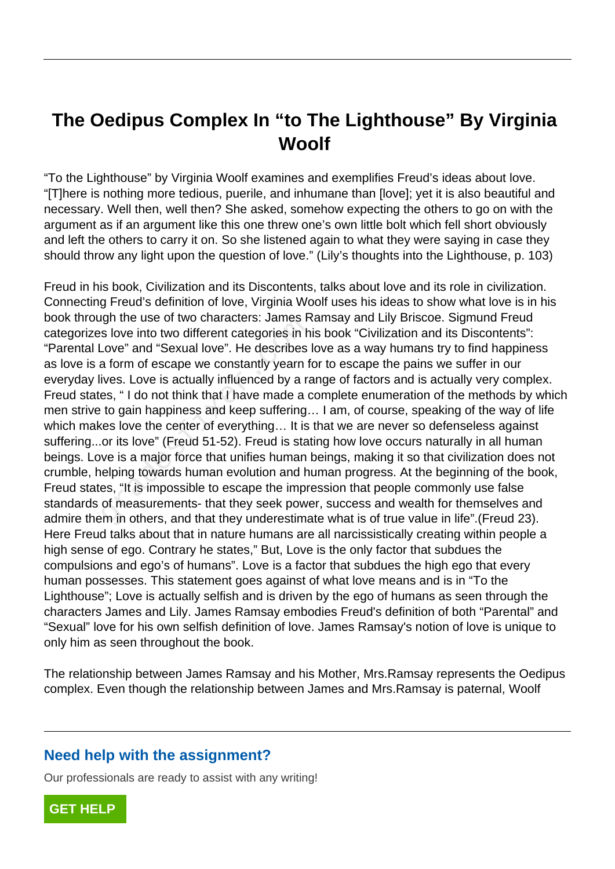## **The Oedipus Complex In "to The Lighthouse" By Virginia Woolf**

"To the Lighthouse" by Virginia Woolf examines and exemplifies Freud's ideas about love. "[T]here is nothing more tedious, puerile, and inhumane than [love]; yet it is also beautiful and necessary. Well then, well then? She asked, somehow expecting the others to go on with the argument as if an argument like this one threw one's own little bolt which fell short obviously and left the others to carry it on. So she listened again to what they were saying in case they should throw any light upon the question of love." (Lily's thoughts into the Lighthouse, p. 103)

Freud in his book, Civilization and its Discontents, talks about love and its role in civilization. Connecting Freud's definition of love, Virginia Woolf uses his ideas to show what love is in his book through the use of two characters: James Ramsay and Lily Briscoe. Sigmund Freud categorizes love into two different categories in his book "Civilization and its Discontents": "Parental Love" and "Sexual love". He describes love as a way humans try to find happiness as love is a form of escape we constantly yearn for to escape the pains we suffer in our everyday lives. Love is actually influenced by a range of factors and is actually very complex. Freud states, " I do not think that I have made a complete enumeration of the methods by which men strive to gain happiness and keep suffering… I am, of course, speaking of the way of life which makes love the center of everything… It is that we are never so defenseless against suffering...or its love" (Freud 51-52). Freud is stating how love occurs naturally in all human beings. Love is a major force that unifies human beings, making it so that civilization does not crumble, helping towards human evolution and human progress. At the beginning of the book, Freud states, "It is impossible to escape the impression that people commonly use false standards of measurements- that they seek power, success and wealth for themselves and admire them in others, and that they underestimate what is of true value in life".(Freud 23). Here Freud talks about that in nature humans are all narcissistically creating within people a high sense of ego. Contrary he states," But, Love is the only factor that subdues the compulsions and ego's of humans". Love is a factor that subdues the high ego that every human possesses. This statement goes against of what love means and is in "To the Lighthouse"; Love is actually selfish and is driven by the ego of humans as seen through the characters James and Lily. James Ramsay embodies Freud's definition of both "Parental" and "Sexual" love for his own selfish definition of love. James Ramsay's notion of love is unique to only him as seen throughout the book. grades in the use of two characters, sames is<br>s love into two different categories in h<br>Love" and "Sexual love". He describes<br>a form of escape we constantly yearn f<br>ives. Love is actually influenced by a ra<br>es, "I do not t

The relationship between James Ramsay and his Mother, Mrs.Ramsay represents the Oedipus complex. Even though the relationship between James and Mrs.Ramsay is paternal, Woolf

## **Need help with the assignment?**

Our professionals are ready to assist with any writing!

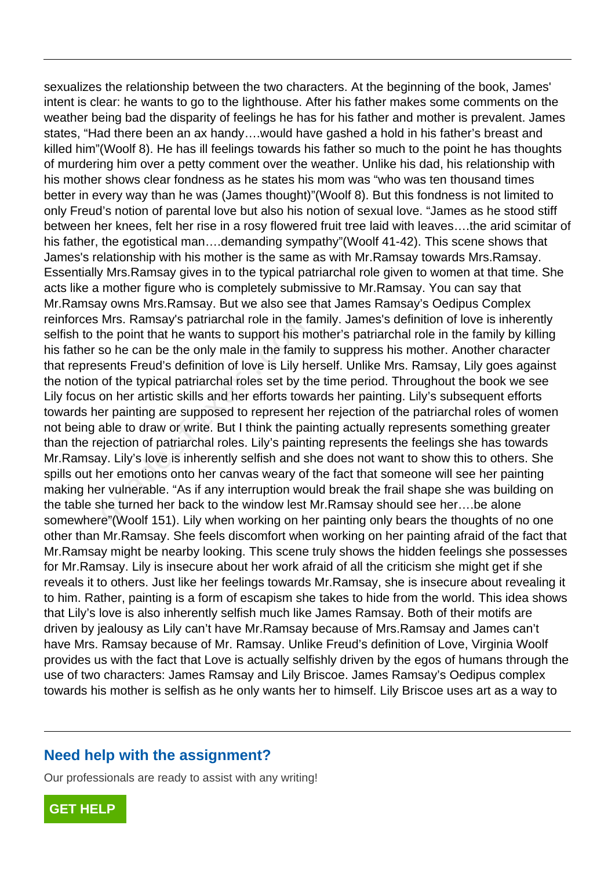sexualizes the relationship between the two characters. At the beginning of the book, James' intent is clear: he wants to go to the lighthouse. After his father makes some comments on the weather being bad the disparity of feelings he has for his father and mother is prevalent. James states, "Had there been an ax handy….would have gashed a hold in his father's breast and killed him"(Woolf 8). He has ill feelings towards his father so much to the point he has thoughts of murdering him over a petty comment over the weather. Unlike his dad, his relationship with his mother shows clear fondness as he states his mom was "who was ten thousand times better in every way than he was (James thought)"(Woolf 8). But this fondness is not limited to only Freud's notion of parental love but also his notion of sexual love. "James as he stood stiff between her knees, felt her rise in a rosy flowered fruit tree laid with leaves….the arid scimitar of his father, the egotistical man....demanding sympathy"(Woolf 41-42). This scene shows that James's relationship with his mother is the same as with Mr.Ramsay towards Mrs.Ramsay. Essentially Mrs.Ramsay gives in to the typical patriarchal role given to women at that time. She acts like a mother figure who is completely submissive to Mr.Ramsay. You can say that Mr.Ramsay owns Mrs.Ramsay. But we also see that James Ramsay's Oedipus Complex reinforces Mrs. Ramsay's patriarchal role in the family. James's definition of love is inherently selfish to the point that he wants to support his mother's patriarchal role in the family by killing his father so he can be the only male in the family to suppress his mother. Another character that represents Freud's definition of love is Lily herself. Unlike Mrs. Ramsay, Lily goes against the notion of the typical patriarchal roles set by the time period. Throughout the book we see Lily focus on her artistic skills and her efforts towards her painting. Lily's subsequent efforts towards her painting are supposed to represent her rejection of the patriarchal roles of women not being able to draw or write. But I think the painting actually represents something greater than the rejection of patriarchal roles. Lily's painting represents the feelings she has towards Mr.Ramsay. Lily's love is inherently selfish and she does not want to show this to others. She spills out her emotions onto her canvas weary of the fact that someone will see her painting making her vulnerable. "As if any interruption would break the frail shape she was building on the table she turned her back to the window lest Mr.Ramsay should see her….be alone somewhere"(Woolf 151). Lily when working on her painting only bears the thoughts of no one other than Mr.Ramsay. She feels discomfort when working on her painting afraid of the fact that Mr.Ramsay might be nearby looking. This scene truly shows the hidden feelings she possesses for Mr.Ramsay. Lily is insecure about her work afraid of all the criticism she might get if she reveals it to others. Just like her feelings towards Mr.Ramsay, she is insecure about revealing it to him. Rather, painting is a form of escapism she takes to hide from the world. This idea shows that Lily's love is also inherently selfish much like James Ramsay. Both of their motifs are driven by jealousy as Lily can't have Mr.Ramsay because of Mrs.Ramsay and James can't have Mrs. Ramsay because of Mr. Ramsay. Unlike Freud's definition of Love, Virginia Woolf provides us with the fact that Love is actually selfishly driven by the egos of humans through the use of two characters: James Ramsay and Lily Briscoe. James Ramsay's Oedipus complex towards his mother is selfish as he only wants her to himself. Lily Briscoe uses art as a way to Internal following in the family with that he wants to support his m<br>so he can be the only male in the family<br>sents Freud's definition of love is Lily he<br>of the typical patriarchal roles set by th<br>on her artistic skills an

## **Need help with the assignment?**

Our professionals are ready to assist with any writing!

**[GET HELP](https://my.gradesfixer.com/order?utm_campaign=pdf_sample)**